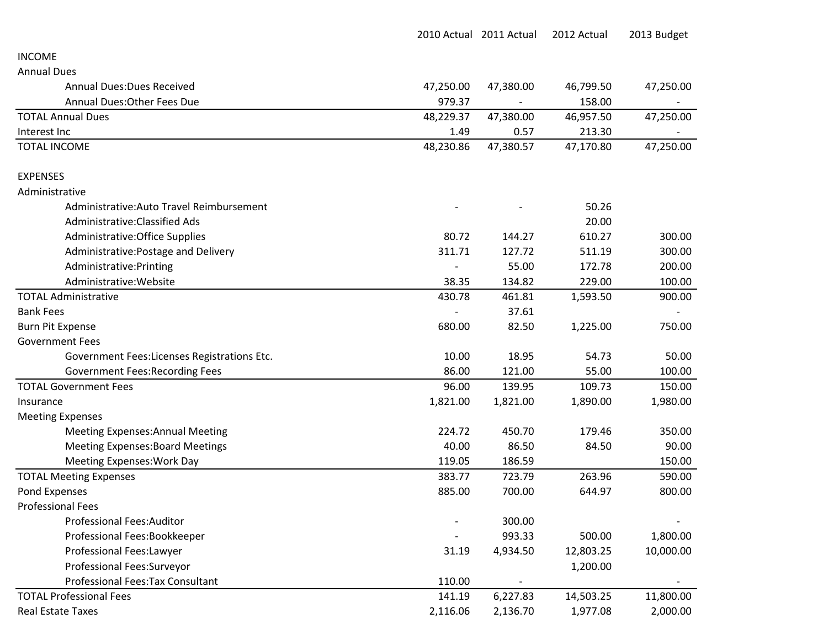|                                              |           | 2010 Actual 2011 Actual | 2012 Actual | 2013 Budget |
|----------------------------------------------|-----------|-------------------------|-------------|-------------|
| <b>INCOME</b>                                |           |                         |             |             |
| <b>Annual Dues</b>                           |           |                         |             |             |
| <b>Annual Dues: Dues Received</b>            | 47,250.00 | 47,380.00               | 46,799.50   | 47,250.00   |
| <b>Annual Dues: Other Fees Due</b>           | 979.37    |                         | 158.00      |             |
| <b>TOTAL Annual Dues</b>                     | 48,229.37 | 47,380.00               | 46,957.50   | 47,250.00   |
| Interest Inc                                 | 1.49      | 0.57                    | 213.30      |             |
| <b>TOTAL INCOME</b>                          | 48,230.86 | 47,380.57               | 47,170.80   | 47,250.00   |
| <b>EXPENSES</b>                              |           |                         |             |             |
| Administrative                               |           |                         |             |             |
| Administrative: Auto Travel Reimbursement    |           |                         | 50.26       |             |
| Administrative: Classified Ads               |           |                         | 20.00       |             |
| Administrative: Office Supplies              | 80.72     | 144.27                  | 610.27      | 300.00      |
| Administrative: Postage and Delivery         | 311.71    | 127.72                  | 511.19      | 300.00      |
| Administrative: Printing                     |           | 55.00                   | 172.78      | 200.00      |
| Administrative: Website                      | 38.35     | 134.82                  | 229.00      | 100.00      |
| <b>TOTAL Administrative</b>                  | 430.78    | 461.81                  | 1,593.50    | 900.00      |
| <b>Bank Fees</b>                             |           | 37.61                   |             |             |
| <b>Burn Pit Expense</b>                      | 680.00    | 82.50                   | 1,225.00    | 750.00      |
| <b>Government Fees</b>                       |           |                         |             |             |
| Government Fees: Licenses Registrations Etc. | 10.00     | 18.95                   | 54.73       | 50.00       |
| <b>Government Fees: Recording Fees</b>       | 86.00     | 121.00                  | 55.00       | 100.00      |
| <b>TOTAL Government Fees</b>                 | 96.00     | 139.95                  | 109.73      | 150.00      |
| Insurance                                    | 1,821.00  | 1,821.00                | 1,890.00    | 1,980.00    |
| <b>Meeting Expenses</b>                      |           |                         |             |             |
| <b>Meeting Expenses: Annual Meeting</b>      | 224.72    | 450.70                  | 179.46      | 350.00      |
| <b>Meeting Expenses: Board Meetings</b>      | 40.00     | 86.50                   | 84.50       | 90.00       |
| Meeting Expenses: Work Day                   | 119.05    | 186.59                  |             | 150.00      |
| <b>TOTAL Meeting Expenses</b>                | 383.77    | 723.79                  | 263.96      | 590.00      |
| Pond Expenses                                | 885.00    | 700.00                  | 644.97      | 800.00      |
| <b>Professional Fees</b>                     |           |                         |             |             |
| <b>Professional Fees:Auditor</b>             |           | 300.00                  |             |             |
| Professional Fees:Bookkeeper                 |           | 993.33                  | 500.00      | 1,800.00    |
| Professional Fees:Lawyer                     | 31.19     | 4,934.50                | 12,803.25   | 10,000.00   |
| Professional Fees:Surveyor                   |           |                         | 1,200.00    |             |
| Professional Fees: Tax Consultant            | 110.00    |                         |             |             |
| <b>TOTAL Professional Fees</b>               | 141.19    | 6,227.83                | 14,503.25   | 11,800.00   |
| <b>Real Estate Taxes</b>                     | 2,116.06  | 2,136.70                | 1,977.08    | 2,000.00    |
|                                              |           |                         |             |             |